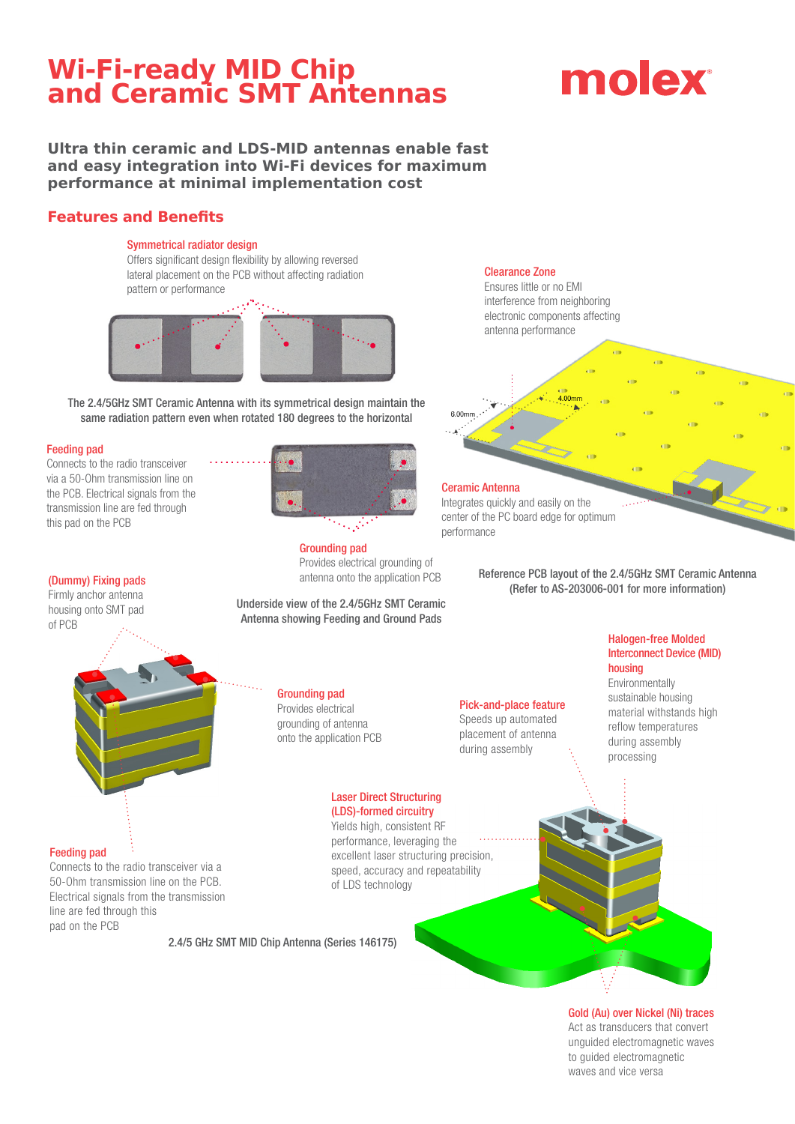# **Wi-Fi-ready MID Chip and Ceramic SMT Antennas**

# molex

### **Ultra thin ceramic and LDS-MID antennas enable fast and easy integration into Wi-Fi devices for maximum performance at minimal implementation cost**

### **Features and Benefits**

#### Symmetrical radiator design

Offers significant design flexibility by allowing reversed lateral placement on the PCB without affecting radiation pattern or performance



The 2.4/5GHz SMT Ceramic Antenna with its symmetrical design maintain the same radiation pattern even when rotated 180 degrees to the horizontal

#### Feeding pad

Connects to the radio transceiver via a 50-Ohm transmission line on the PCB. Electrical signals from the transmission line are fed through this pad on the PCB



Grounding pad Provides electrical grounding of antenna onto the application PCB

Underside view of the 2.4/5GHz SMT Ceramic Antenna showing Feeding and Ground Pads

### Grounding pad

Provides electrical grounding of antenna onto the application PCB

# Laser Direct Structuring

Yields high, consistent RF performance, leveraging the excellent laser structuring precision, speed, accuracy and repeatability of LDS technology

#### Clearance Zone

Ensures little or no EMI interference from neighboring electronic components affecting antenna performance



performance

Reference PCB layout of the 2.4/5GHz SMT Ceramic Antenna (Dummy) Fixing pads<br>antenna onto the application PCB Refer to AS-203006-001 for more information)

#### Halogen-free Molded Interconnect Device (MID) housing

Environmentally sustainable housing material withstands high reflow temperatures during assembly processing

# during assembly

Pick-and-place feature Speeds up automated placement of antenna

# (LDS)-formed circuitry

# Gold (Au) over Nickel (Ni) traces

Act as transducers that convert unguided electromagnetic waves to guided electromagnetic waves and vice versa

# Firmly anchor antenna

housing onto SMT pad of PCB



### Feeding pad

Connects to the radio transceiver via a 50-Ohm transmission line on the PCB. Electrical signals from the transmission line are fed through this pad on the PCB

2.4/5 GHz SMT MID Chip Antenna (Series 146175)